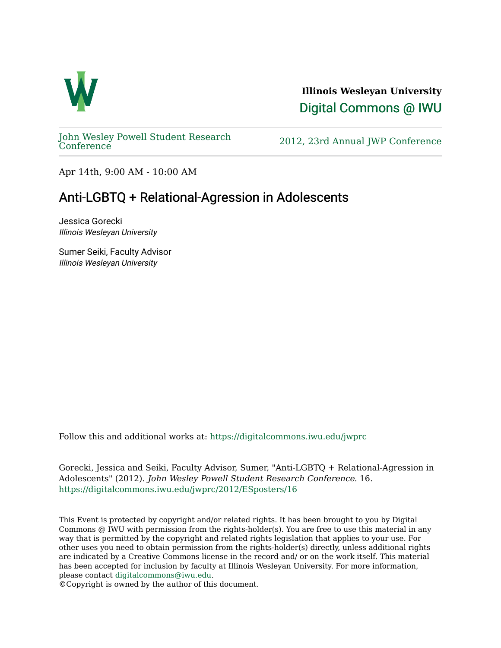

**Illinois Wesleyan University**  [Digital Commons @ IWU](https://digitalcommons.iwu.edu/) 

[John Wesley Powell Student Research](https://digitalcommons.iwu.edu/jwprc) 

2012, 23rd Annual JWP [Conference](https://digitalcommons.iwu.edu/jwprc)

Apr 14th, 9:00 AM - 10:00 AM

## Anti-LGBTQ + Relational-Agression in Adolescents

Jessica Gorecki Illinois Wesleyan University

Sumer Seiki, Faculty Advisor Illinois Wesleyan University

Follow this and additional works at: [https://digitalcommons.iwu.edu/jwprc](https://digitalcommons.iwu.edu/jwprc?utm_source=digitalcommons.iwu.edu%2Fjwprc%2F2012%2FESposters%2F16&utm_medium=PDF&utm_campaign=PDFCoverPages) 

Gorecki, Jessica and Seiki, Faculty Advisor, Sumer, "Anti-LGBTQ + Relational-Agression in Adolescents" (2012). John Wesley Powell Student Research Conference. 16. [https://digitalcommons.iwu.edu/jwprc/2012/ESposters/16](https://digitalcommons.iwu.edu/jwprc/2012/ESposters/16?utm_source=digitalcommons.iwu.edu%2Fjwprc%2F2012%2FESposters%2F16&utm_medium=PDF&utm_campaign=PDFCoverPages) 

This Event is protected by copyright and/or related rights. It has been brought to you by Digital Commons @ IWU with permission from the rights-holder(s). You are free to use this material in any way that is permitted by the copyright and related rights legislation that applies to your use. For other uses you need to obtain permission from the rights-holder(s) directly, unless additional rights are indicated by a Creative Commons license in the record and/ or on the work itself. This material has been accepted for inclusion by faculty at Illinois Wesleyan University. For more information, please contact [digitalcommons@iwu.edu.](mailto:digitalcommons@iwu.edu)

©Copyright is owned by the author of this document.